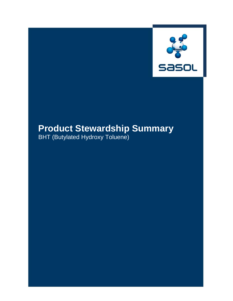

# **Product Stewardship Summary**

BHT (Butylated Hydroxy Toluene)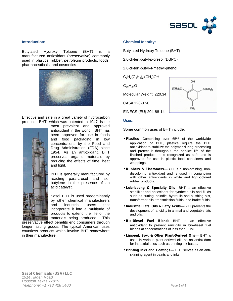

# **Introduction:**

Butylated Hydroxy Toluene (BHT) is a manufactured antioxidant (preservative) commonly used in plastics, rubber, petroleum products, foods, pharmaceuticals, and cosmetics.



Effective and safe in a great variety of hydrocarbon products, BHT, which was patented in 1947, is the



most prevalent and approved antioxidant in the world. BHT has been approved for use in foods and food packaging in low concentrations by the Food and Drug Administration (FDA) since 1954. As an antioxidant, BHT preserves organic materials by reducing the effects of time, heat and light.

BHT is generally manufactured by reacting para-cresol and iso butylene in the presence of an acid catalyst.

Sasol BHT is used predominantly by other chemical manufacturers and industrial users that incorporate it into a multitude of products to extend the life of the materials being produced. This

preservative effect benefits end consumers through longer lasting goods. The typical American uses countless products which involve BHT somewhere in their manufacture.

# **Chemical Identity:**

Butylated Hydroxy Toluene (BHT)

2,6-di-tert-butyl-p-cresol (DBPC)

2,6-di-tert-butyl-4-methyl-phenol

 $C_6H_2(C_4H_9)_2$  (CH<sub>3</sub>)OH

 $C_{15}H_{24}O$ 

Molecular Weight: 220.34

CAS# 128-37-0

EINECS (EU) 204-88-14



#### **Uses:**

Some common uses of BHT include:

- *Plastics—*Comprising over 65% of the worldwide application of BHT, plastics require the BHT antioxidant to stabilize the polymer during processing and protect it throughout the service life of the finished product. It is recognized as safe and is approved for use in plastic food containers and wrappings.
- *Rubbers & Elastomers*—BHT is a non-staining, non discoloring antioxidant and is used in conjunction with other antioxidants in white and light-colored rubber products.
- *Lubricating & Specialty Oils*—BHT is an effective stabilizer and antioxidant for synthetic oils and fluids such as cutting, spindle, hydraulic and slushing oils, transformer oils, transmission fluids, and brake fluids.
- *Industrial Fats, Oils & Fatty Acids—*BHT prevents the development of rancidity in animal and vegetable fats and oils.
- *Bio-Diesel Fuel Blends*—BHT is an effective antioxidant to prevent rancidity in bio-diesel fuel blends at concentrations of less than 0.1%.
- *Linseed, Soy, & Other Plant-Derived Oils* BHT is used in various plant-derived oils as an antioxidant for industrial uses such as printing ink bases.
- *Printing Inks and Coatings* BHT serves as an anti skinning agent in paints and inks.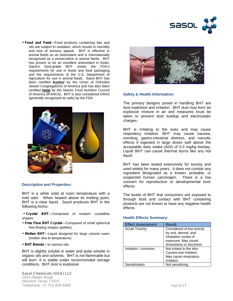

 *Food and Feed*—Food products containing fats and oils are subject to oxidation, which results in rancidity and loss of sensory appeal. BHT is effective in animal feeds as an antioxidant and is internationally recognized as a preservative in animal feeds. BHT has proven to be an excellent antioxidant in foods. Sasol's food-grade BHT meets the FDA's requirements for use in foods and food packaging and the requirements of the U.S. Department of Agriculture for use in animal feeds. Sasol BHT has been certified **Kosher** by the Union of Orthodox Jewish Congregations of America and has also been certified **Halal** by the Islamic Food Nutrition Council of America (IFANCA). BHT is also considered GRAS (generally recognized as safe) by the FDA.



## **Description and Properties:**

BHT is a white solid at room temperature with a mild odor. When heated above its melting point, BHT is a clear liquid. Sasol produces BHT in the following forms:

 *Crystal BHT—*Composed of random crystalline shapes.

- *Free Flow BHT Crystal*—Composed of small spherical free-flowing shapes (pellets).
- *Molten BHT*—Liquid designed for large volume users (molten due to temperature).
- *BHT Blends*—In various oils.

BHT is slightly soluble in water and quite soluble in organic oils and solvents. BHT is not flammable but will burn. It is stable under recommended storage conditions. BHT dust is explosive.

*Sasol Chemicals (USA) LLC 1914 Haden Road Houston Texas 77015 Telephone: +1 713 428 5400 Page 3 of 7*



## **Safety & Health Information:**

The primary dangers posed in handling BHT are dust explosion and irritation. BHT dust may form an explosive mixture in air and measures must be taken to prevent dust buildup and electrostatic charges.

BHT is irritating to the eyes and may cause respiratory irritation. BHT may cause nausea, vomiting, gastro-intestinal distress, and narcotic effects if ingested in large doses well above the acceptable daily intake (ADI) of 0.3 mg/kg bw/day. Liquid BHT can cause thermal burns like any hot liquid.

BHT has been tested extensively for toxicity and used widely for many years. It does not contain any ingredient designated as a known, probable, or suspected human carcinogen. There is a low concern for reproductive or developmental toxic effects.

The levels of BHT that consumers are exposed to through food and contact with BHT containing products are not known to have any negative health effects.

#### **Health Effects Summary:**

| <b>Effect Assessment</b> | Result                                                                                                                        |
|--------------------------|-------------------------------------------------------------------------------------------------------------------------------|
| <b>Acute Toxicity</b>    | Considered of low toxicity<br>by oral, dermal, and<br>inhalation routes of<br>exposure. May cause<br>drowsiness or dizziness. |
| Irritation / corrosion   | Not irritant to the skin.<br>Causes eye irritation.<br>May cause respiratory<br>irritation.                                   |
| Sensitization            | Not sensitizing.                                                                                                              |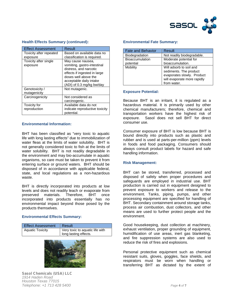

| <b>Effect Assessment</b> | Result                         |
|--------------------------|--------------------------------|
| Toxicity after repeated  | Based on available data no     |
| exposure                 | classification is required.    |
| Toxicity after single    | May cause nausea,              |
| exposure                 | vomiting, gastro-intestinal    |
|                          | distress, and narcotic         |
|                          | effects if ingested in large   |
|                          | doses well above the           |
|                          | acceptable daily intake        |
|                          | (ADI) of 0.3 mg/kg bw/day      |
| Genotoxicity /           | Not mutagenic.                 |
| mutagenicity             |                                |
| Carcinogenicity          | Not considered as              |
|                          | carcinogenic.                  |
| Toxicity for             | Available data do not          |
| reproduction             | indicate reproductive toxicity |
|                          | potential.                     |

# **Health Effects Summary (continued):**

# **Environmental Information:**

BHT has been classified as "very toxic to aquatic life with long lasting effects" due to immobilization of water fleas at the limits of water solubility. BHT is not generally considered toxic to fish at the limits of water solubility. BHT is not readily degradable in the environment and may bio-accumulate in aquatic organisms, so care must be taken to prevent it from entering surface or ground waters. BHT should be disposed of in accordance with applicable federal, state, and local regulations as a non-hazardous waste.

BHT is directly incorporated into products at low levels and does not readily leach or evaporate from preserved materials. incorporated into products essentially has no environmental impact beyond those posed by the products themselves.

# **Environmental Effects Summary:**

| <b>Effect Assessment</b> | Result                          |
|--------------------------|---------------------------------|
| <b>Aquatic Toxicity</b>  | Very toxic to aquatic life with |
|                          | long lasting effects.           |



*Sasol Chemicals (USA) LLC 1914 Haden Road Houston Texas 77015 Telephone: +1 713 428 5400 Page 4 of 7*

## **Environmental Fate Summary:**

| <b>Fate and Behavior</b> | Result                      |
|--------------------------|-----------------------------|
| Biodegradation           | Not readily biodegradable.  |
| Bioaccumulation          | Moderate potential for      |
| potential                | bioaccumulation.            |
| Mobility                 | Will adsorb to soil and     |
|                          | sediments. The product      |
|                          | evaporates slowly. Product  |
|                          | will evaporate more rapidly |
|                          | from water.                 |

## **Exposure Potential:**

Because BHT is an irritant, it is regulated as a hazardous material. It is primarily used by other chemical manufacturers; therefore, chemical and transportation workers have the highest risk of exposure. Sasol does not sell BHT for direct consumer use.

Consumer exposure of BHT is low because BHT is bound directly into products such as plastic and rubber and is used at parts-per-million (ppm) levels in foods and food packaging. Consumers should always consult product labels for hazard and safe handling information.

## **Risk Management:**

BHT can be stored, transferred, processed and disposed of safely when proper procedures and safeguards are employed in industrial use. BHT production is carried out in equipment designed to prevent exposure to workers and release to the environment. Tanks, piping, pumps, and other processing equipment are specified for handling of BHT. Secondary containment around storage tanks, process air combustion, dust collectors, and other means are used to further protect people and the environment.

Good housekeeping, dust collection at machinery, exhaust ventilation, proper grounding of equipment, humidification of use areas, inert gas blanketing, and fire suppression systems are also used to reduce the risk of fires and explosions.

Personal protective equipment such as chemical resistant suits, gloves, goggles, face shields, and respirators must be worn when handling or transferring BHT as dictated by the extent of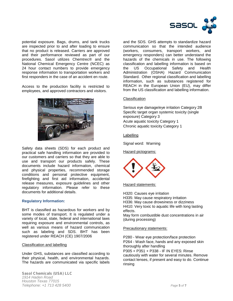

potential exposure. Bags, drums, and tank trucks are inspected prior to and after loading to ensure that no product is released. Carriers are approved and their performance reviewed as part of our procedures. Sasol utilizes Chemtrec® and the National Chemical Emergency Centre (NCEC) as 24 hour contact numbers to provide emergency the US response information to transportation workers and first responders in the case of an accident en route.

Access to the production facility is restricted to employees, and approved contractors and visitors.



Safety data sheets (SDS) for each product and practical safe handling information are provided to our customers and carriers so that they are able to use and transport our products safely. These documents include hazard information, chemical and physical properties, recommended storage conditions and personal protective equipment, firefighting and first aid information, accidental release measures, exposure guidelines and other regulatory information. Please refer to these documents for additional details.

# **Regulatory Information:**

BHT is classified as hazardous for workers and by some modes of transport. It is regulated under a variety of local, state, federal and international laws requiring exposure and environmental controls, as well as various means of hazard communication such as labeling and SDS. BHT has been registered under REACH (CE) 1907/2006

#### Classification and labelling

Under GHS, substances are classified according to their physical, health, and environmental hazards. The hazards are communicated via specific labels

*Sasol Chemicals (USA) LLC 1914 Haden Road Houston Texas 77015 Telephone: +1 713 428 5400 Page 5 of 7*

and the SDS. GHS attempts to standardize hazard communication so that the intended audience (workers, consumers, transport workers, and emergency responders) can better understand the hazards of the chemicals in use. The following classification and labelling information is based on Occupational Safety and Health Administration (OSHA) Hazard Communication Standard. Other regional classification and labelling information, such as substances registered for REACH in the European Union (EU), may differ from the US classification and labelling information.

## **Classification**

Serious eye damage/eye irritation Category 2B Specific target organ systemic toxicity (single exposure) Category 3 Acute aquatic toxicity Category 1 Chronic aquatic toxicity Category 1

# Labelling

Signal word: Warning

## Hazard pictograms:



Hazard statements:

H320: Causes eye irritation

H335: May cause respiratory irritation

H336: May cause drowsiness or dizziness H410: Very toxic to aquatic life with long lasting

effects. May form combustible dust concentrations in air (during processing)

#### Precautionary statements:

P280 - Wear eye protection/face protection P264 - Wash face, hands and any exposed skin thoroughly after handling P305 + P351 + P338 - IF IN EYES: Rinse

cautiously with water for several minutes. Remove contact lenses, if present and easy to do. Continue rinsing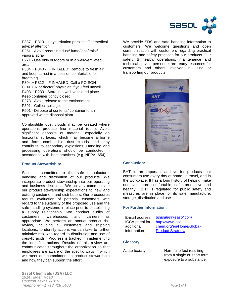

P337 + P313 - If eye irritation persists: Get medical advice/ attention

P261 - Avoid breathing dust/ fume/ gas/ mist/ vapors/ spray

P271 - Use only outdoors or in a well-ventilated area

P304 + P340 - IF INHALED: Remove to fresh air and keep at rest in a position comfortable for breathing

P304 + P312 - IF INHALED: Call a POISON CENTER or doctor/ physician if you feel unwell P403 + P233 - Store in a well-ventilated place. Keep container tightly closed

P273 - Avoid release to the environment.

P391 - Collect spillage.

P501 - Dispose of contents/ container to an approved waste disposal plant.

Combustible dust clouds may be created where operations produce fine material (dust). Avoid significant deposits of material, especially on horizontal surfaces, which may become airborne and form combustible dust clouds and may contribute to secondary explosions. Handling and processing operations should be conducted in accordance with 'best practices' (e.g. NFPA- 654).

# **Product Stewardship:**

Sasol is committed to the safe manufacture, handling and distribution of our products. We incorporate product stewardship into our operating and business decisions. We actively communicate our product stewardship expectations to new and existing customers and distributors. Our procedures require evaluation of potential customers with regard to the suitability of the proposed use and the safe handling systems in place prior to establishing a supply relationship. We conduct audits of customers, warehouses, and carriers as appropriate. We perform an annual product risk review, including all customers and shipping locations, to identify actions we can take to further minimize risk with regard to distribution and use of cresylic acids. Progress is tracked in implementing the identified actions. Results of this review are communicated throughout the organization so that employees are aware of the specific ways in which we meet our commitment to product stewardship and how they can support the effort.

We provide SDS and safe handling information to customers. We welcome questions and open communication with customers regarding practical handling and safety practices for our products. Our safety & health, operations, maintenance and technical service personnel are ready resources for customers and others involved in using or transporting our products.



## **Conclusion:**

BHT is an important additive for products that consumers use every day at home, in travel, and in the workplace. It has a long history of helping make our lives more comfortable, safe, productive and healthy. BHT is regulated for public safety and measures are in place for its safe manufacture, storage, distribution and use.

#### **For Further Information:**

| E-mail address  | usasales@sasol.com       |
|-----------------|--------------------------|
| ICCA portal for | http://www.icca-         |
| additional      | chem.org/en/Home/Global- |
| information     | Product-Strategy/        |

#### **Glossary:**

Harmful effect resulting from a single or short term exposure to a substance.